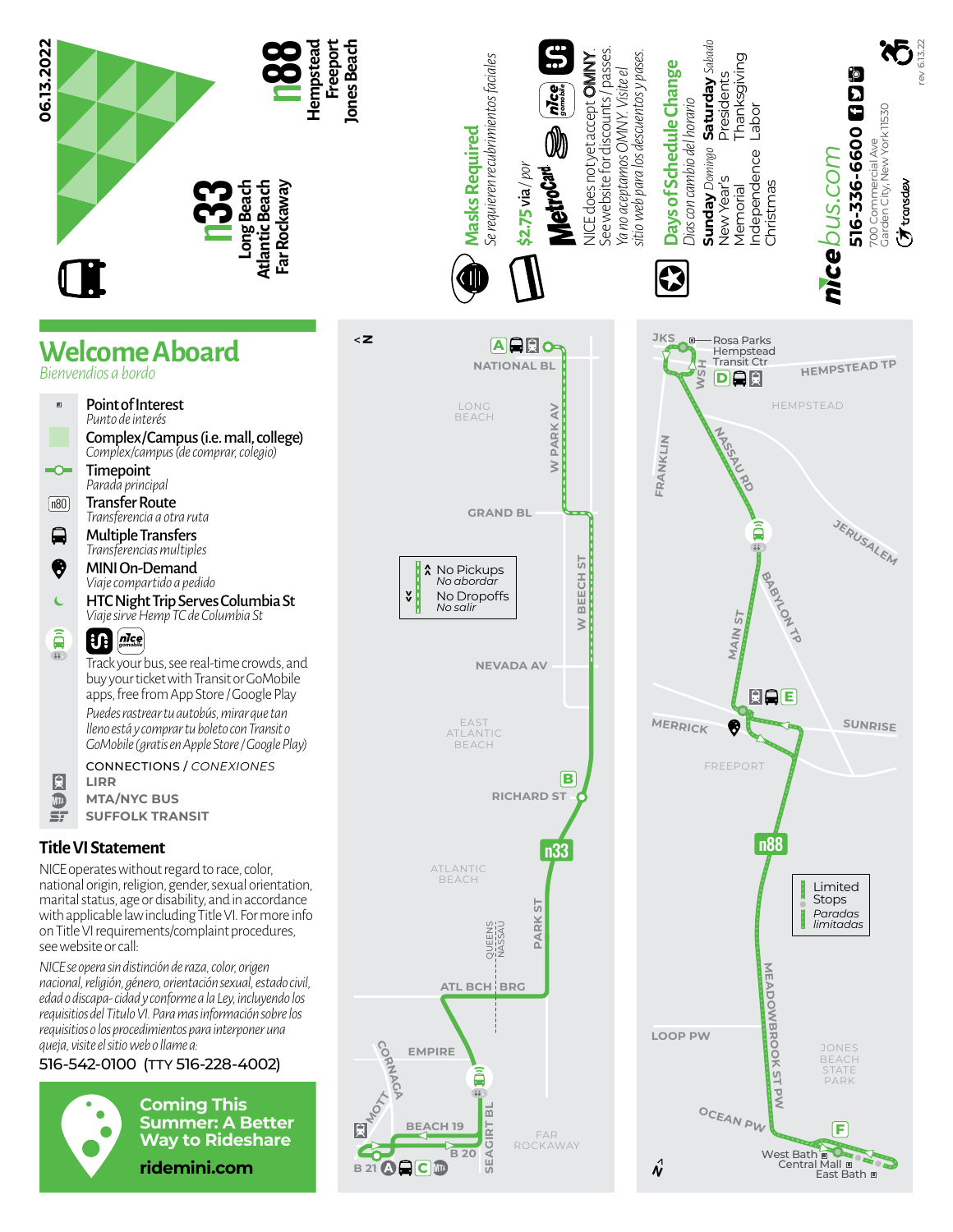